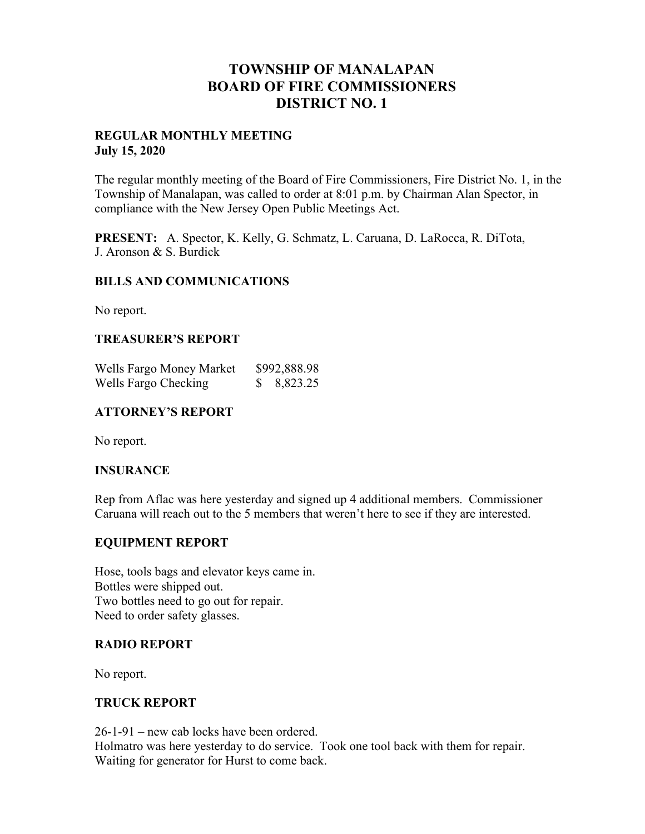## **TOWNSHIP OF MANALAPAN BOARD OF FIRE COMMISSIONERS DISTRICT NO. 1**

#### **REGULAR MONTHLY MEETING July 15, 2020**

The regular monthly meeting of the Board of Fire Commissioners, Fire District No. 1, in the Township of Manalapan, was called to order at 8:01 p.m. by Chairman Alan Spector, in compliance with the New Jersey Open Public Meetings Act.

**PRESENT:** A. Spector, K. Kelly, G. Schmatz, L. Caruana, D. LaRocca, R. DiTota, J. Aronson & S. Burdick

#### **BILLS AND COMMUNICATIONS**

No report.

#### **TREASURER'S REPORT**

| Wells Fargo Money Market | \$992,888.98 |
|--------------------------|--------------|
| Wells Fargo Checking     | 8,823.25     |

#### **ATTORNEY'S REPORT**

No report.

## **INSURANCE**

Rep from Aflac was here yesterday and signed up 4 additional members. Commissioner Caruana will reach out to the 5 members that weren't here to see if they are interested.

#### **EQUIPMENT REPORT**

Hose, tools bags and elevator keys came in. Bottles were shipped out. Two bottles need to go out for repair. Need to order safety glasses.

#### **RADIO REPORT**

No report.

#### **TRUCK REPORT**

26-1-91 – new cab locks have been ordered. Holmatro was here yesterday to do service. Took one tool back with them for repair. Waiting for generator for Hurst to come back.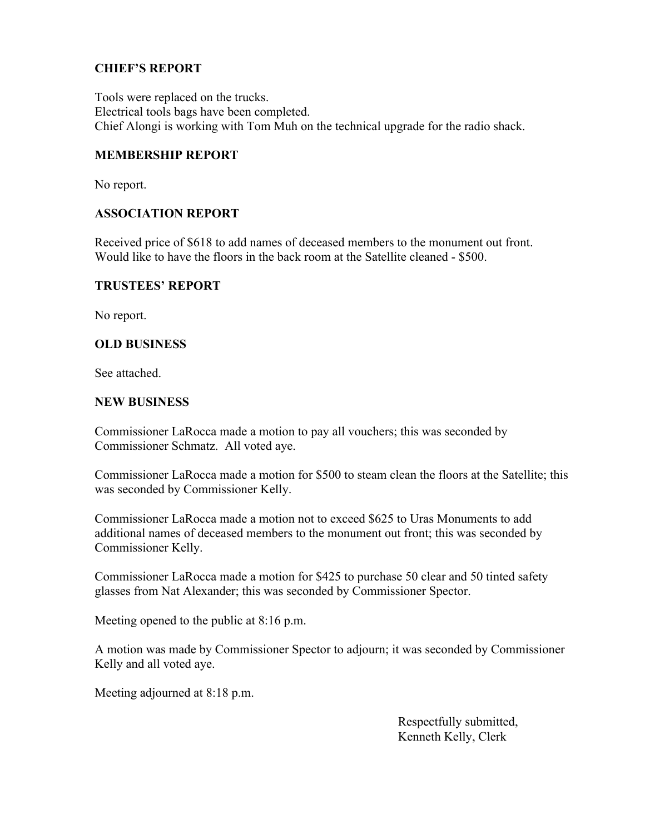## **CHIEF'S REPORT**

Tools were replaced on the trucks. Electrical tools bags have been completed. Chief Alongi is working with Tom Muh on the technical upgrade for the radio shack.

#### **MEMBERSHIP REPORT**

No report.

## **ASSOCIATION REPORT**

Received price of \$618 to add names of deceased members to the monument out front. Would like to have the floors in the back room at the Satellite cleaned - \$500.

#### **TRUSTEES' REPORT**

No report.

## **OLD BUSINESS**

See attached.

#### **NEW BUSINESS**

Commissioner LaRocca made a motion to pay all vouchers; this was seconded by Commissioner Schmatz. All voted aye.

Commissioner LaRocca made a motion for \$500 to steam clean the floors at the Satellite; this was seconded by Commissioner Kelly.

Commissioner LaRocca made a motion not to exceed \$625 to Uras Monuments to add additional names of deceased members to the monument out front; this was seconded by Commissioner Kelly.

Commissioner LaRocca made a motion for \$425 to purchase 50 clear and 50 tinted safety glasses from Nat Alexander; this was seconded by Commissioner Spector.

Meeting opened to the public at 8:16 p.m.

A motion was made by Commissioner Spector to adjourn; it was seconded by Commissioner Kelly and all voted aye.

Meeting adjourned at 8:18 p.m.

 Respectfully submitted, Kenneth Kelly, Clerk